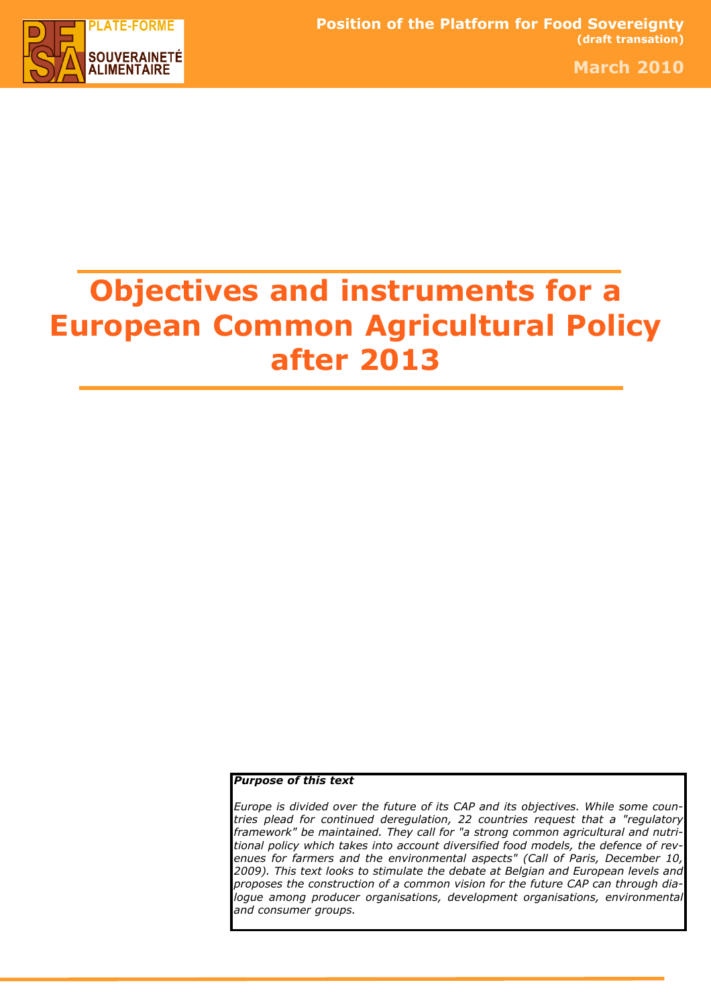

March 2010

# Objectives and instruments for a European Common Agricultural Policy after 2013

### Purpose of this text

Europe is divided over the future of its CAP and its objectives. While some countries plead for continued deregulation, 22 countries request that a "regulatory framework" be maintained. They call for "a strong common agricultural and nutritional policy which takes into account diversified food models, the defence of revenues for farmers and the environmental aspects" (Call of Paris, December 10, 2009). This text looks to stimulate the debate at Belgian and European levels and proposes the construction of a common vision for the future CAP can through dialogue among producer organisations, development organisations, environmental and consumer groups.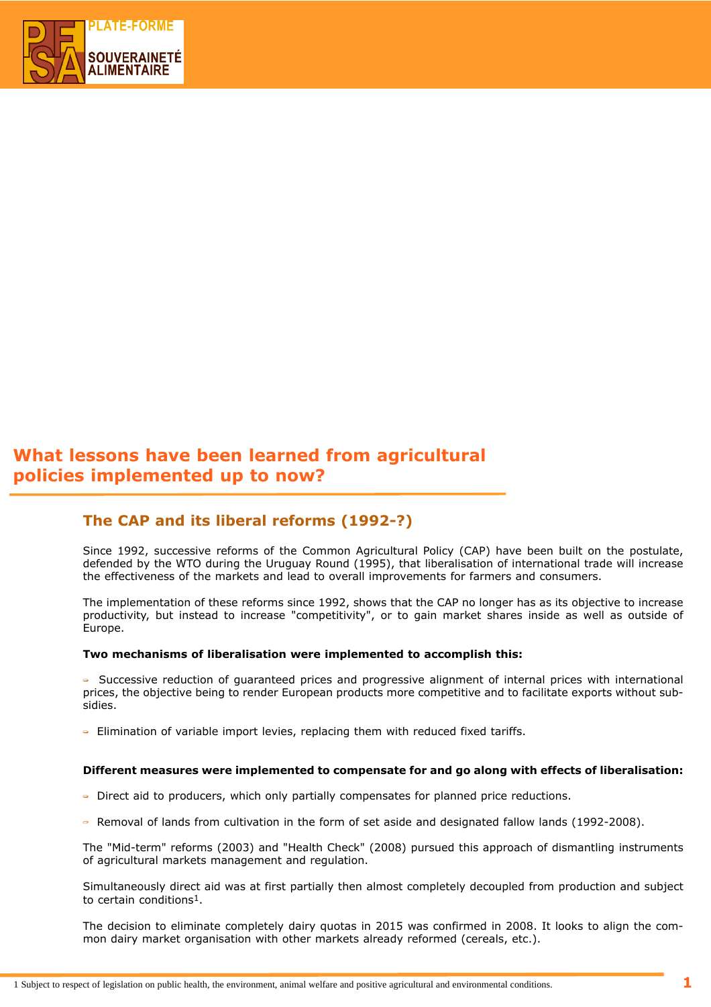

# What lessons have been learned from agricultural policies implemented up to now?

## The CAP and its liberal reforms (1992-?)

Since 1992, successive reforms of the Common Agricultural Policy (CAP) have been built on the postulate, defended by the WTO during the Uruguay Round (1995), that liberalisation of international trade will increase the effectiveness of the markets and lead to overall improvements for farmers and consumers.

The implementation of these reforms since 1992, shows that the CAP no longer has as its objective to increase productivity, but instead to increase "competitivity", or to gain market shares inside as well as outside of Europe.

#### Two mechanisms of liberalisation were implemented to accomplish this:

- Successive reduction of guaranteed prices and progressive alignment of internal prices with international prices, the objective being to render European products more competitive and to facilitate exports without subsidies.

 $\overline{\phantom{a}}$  Elimination of variable import levies, replacing them with reduced fixed tariffs.

#### Different measures were implemented to compensate for and go along with effects of liberalisation:

- Direct aid to producers, which only partially compensates for planned price reductions.
- Removal of lands from cultivation in the form of set aside and designated fallow lands (1992-2008).

The "Mid-term" reforms (2003) and "Health Check" (2008) pursued this approach of dismantling instruments of agricultural markets management and regulation.

Simultaneously direct aid was at first partially then almost completely decoupled from production and subject to certain conditions1.

The decision to eliminate completely dairy quotas in 2015 was confirmed in 2008. It looks to align the common dairy market organisation with other markets already reformed (cereals, etc.).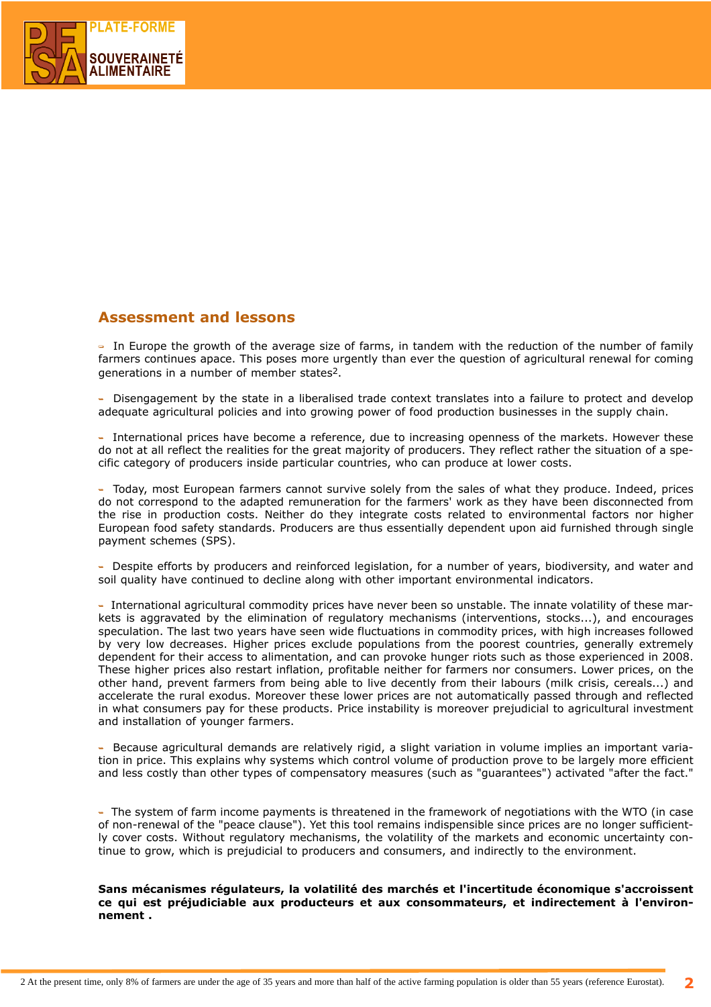

## Assessment and lessons

- In Europe the growth of the average size of farms, in tandem with the reduction of the number of family farmers continues apace. This poses more urgently than ever the question of agricultural renewal for coming generations in a number of member states2.

- Disengagement by the state in a liberalised trade context translates into a failure to protect and develop adequate agricultural policies and into growing power of food production businesses in the supply chain.

- International prices have become a reference, due to increasing openness of the markets. However these do not at all reflect the realities for the great majority of producers. They reflect rather the situation of a specific category of producers inside particular countries, who can produce at lower costs.

- Today, most European farmers cannot survive solely from the sales of what they produce. Indeed, prices do not correspond to the adapted remuneration for the farmers' work as they have been disconnected from the rise in production costs. Neither do they integrate costs related to environmental factors nor higher European food safety standards. Producers are thus essentially dependent upon aid furnished through single payment schemes (SPS).

- Despite efforts by producers and reinforced legislation, for a number of years, biodiversity, and water and soil quality have continued to decline along with other important environmental indicators.

- International agricultural commodity prices have never been so unstable. The innate volatility of these markets is aggravated by the elimination of regulatory mechanisms (interventions, stocks...), and encourages speculation. The last two years have seen wide fluctuations in commodity prices, with high increases followed by very low decreases. Higher prices exclude populations from the poorest countries, generally extremely dependent for their access to alimentation, and can provoke hunger riots such as those experienced in 2008. These higher prices also restart inflation, profitable neither for farmers nor consumers. Lower prices, on the other hand, prevent farmers from being able to live decently from their labours (milk crisis, cereals...) and accelerate the rural exodus. Moreover these lower prices are not automatically passed through and reflected in what consumers pay for these products. Price instability is moreover prejudicial to agricultural investment and installation of younger farmers.

- Because agricultural demands are relatively rigid, a slight variation in volume implies an important variation in price. This explains why systems which control volume of production prove to be largely more efficient and less costly than other types of compensatory measures (such as "guarantees") activated "after the fact."

- The system of farm income payments is threatened in the framework of negotiations with the WTO (in case of non-renewal of the "peace clause"). Yet this tool remains indispensible since prices are no longer sufficiently cover costs. Without regulatory mechanisms, the volatility of the markets and economic uncertainty continue to grow, which is prejudicial to producers and consumers, and indirectly to the environment.

Sans mécanismes régulateurs, la volatilité des marchés et l'incertitude économique s'accroissent ce qui est préjudiciable aux producteurs et aux consommateurs, et indirectement à l'environnement .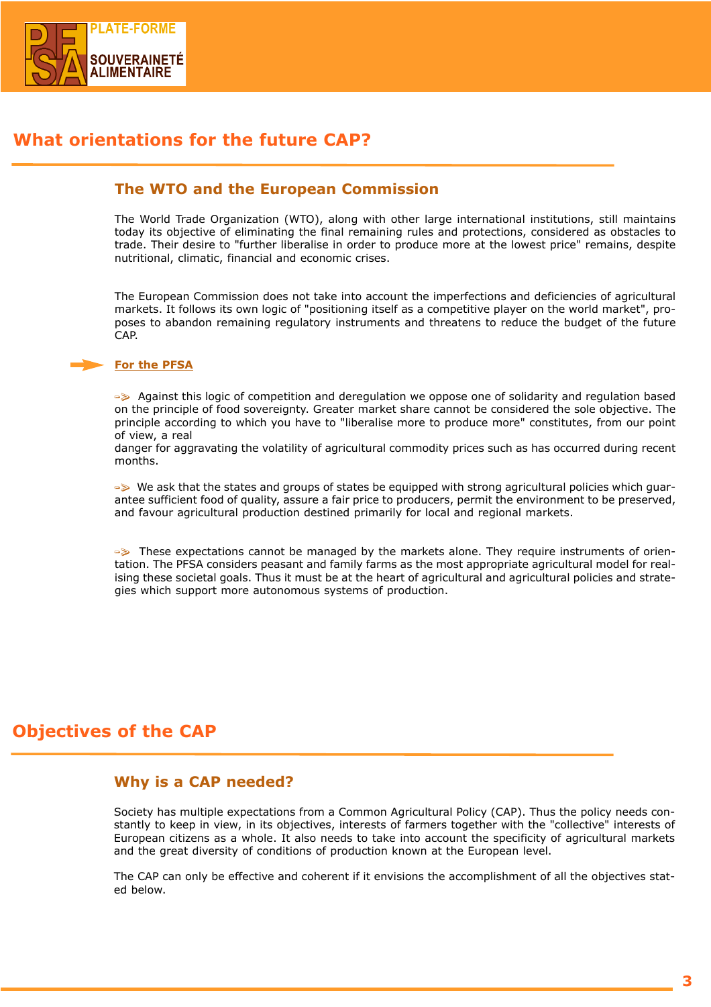

# What orientations for the future CAP?

## The WTO and the European Commission

The World Trade Organization (WTO), along with other large international institutions, still maintains today its objective of eliminating the final remaining rules and protections, considered as obstacles to trade. Their desire to "further liberalise in order to produce more at the lowest price" remains, despite nutritional, climatic, financial and economic crises.

The European Commission does not take into account the imperfections and deficiencies of agricultural markets. It follows its own logic of "positioning itself as a competitive player on the world market", proposes to abandon remaining regulatory instruments and threatens to reduce the budget of the future CAP.

#### For the PFSA

-> Against this logic of competition and deregulation we oppose one of solidarity and regulation based on the principle of food sovereignty. Greater market share cannot be considered the sole objective. The principle according to which you have to "liberalise more to produce more" constitutes, from our point of view, a real

danger for aggravating the volatility of agricultural commodity prices such as has occurred during recent months.

-> We ask that the states and groups of states be equipped with strong agricultural policies which guarantee sufficient food of quality, assure a fair price to producers, permit the environment to be preserved, and favour agricultural production destined primarily for local and regional markets.

-> These expectations cannot be managed by the markets alone. They require instruments of orientation. The PFSA considers peasant and family farms as the most appropriate agricultural model for realising these societal goals. Thus it must be at the heart of agricultural and agricultural policies and strategies which support more autonomous systems of production.

# Objectives of the CAP

## Why is a CAP needed?

Society has multiple expectations from a Common Agricultural Policy (CAP). Thus the policy needs constantly to keep in view, in its objectives, interests of farmers together with the "collective" interests of European citizens as a whole. It also needs to take into account the specificity of agricultural markets and the great diversity of conditions of production known at the European level.

The CAP can only be effective and coherent if it envisions the accomplishment of all the objectives stated below.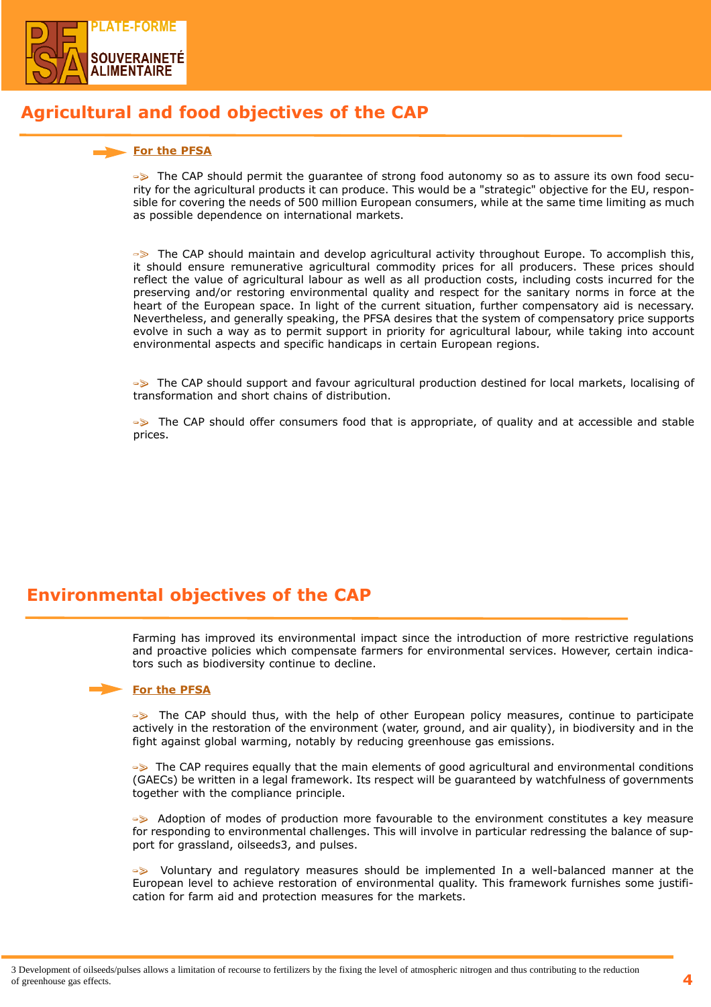

# Agricultural and food objectives of the CAP

## For the PFSA

-> The CAP should permit the guarantee of strong food autonomy so as to assure its own food security for the agricultural products it can produce. This would be a "strategic" objective for the EU, responsible for covering the needs of 500 million European consumers, while at the same time limiting as much as possible dependence on international markets.

-> The CAP should maintain and develop agricultural activity throughout Europe. To accomplish this, it should ensure remunerative agricultural commodity prices for all producers. These prices should reflect the value of agricultural labour as well as all production costs, including costs incurred for the preserving and/or restoring environmental quality and respect for the sanitary norms in force at the heart of the European space. In light of the current situation, further compensatory aid is necessary. Nevertheless, and generally speaking, the PFSA desires that the system of compensatory price supports evolve in such a way as to permit support in priority for agricultural labour, while taking into account environmental aspects and specific handicaps in certain European regions.

-> The CAP should support and favour agricultural production destined for local markets, localising of transformation and short chains of distribution.

-> The CAP should offer consumers food that is appropriate, of quality and at accessible and stable prices.

# Environmental objectives of the CAP

Farming has improved its environmental impact since the introduction of more restrictive regulations and proactive policies which compensate farmers for environmental services. However, certain indicators such as biodiversity continue to decline.

## For the PFSA

 $\Rightarrow$  The CAP should thus, with the help of other European policy measures, continue to participate actively in the restoration of the environment (water, ground, and air quality), in biodiversity and in the fight against global warming, notably by reducing greenhouse gas emissions.

-> The CAP requires equally that the main elements of good agricultural and environmental conditions (GAECs) be written in a legal framework. Its respect will be guaranteed by watchfulness of governments together with the compliance principle.

-> Adoption of modes of production more favourable to the environment constitutes a key measure for responding to environmental challenges. This will involve in particular redressing the balance of support for grassland, oilseeds3, and pulses.

-> Voluntary and regulatory measures should be implemented In a well-balanced manner at the European level to achieve restoration of environmental quality. This framework furnishes some justification for farm aid and protection measures for the markets.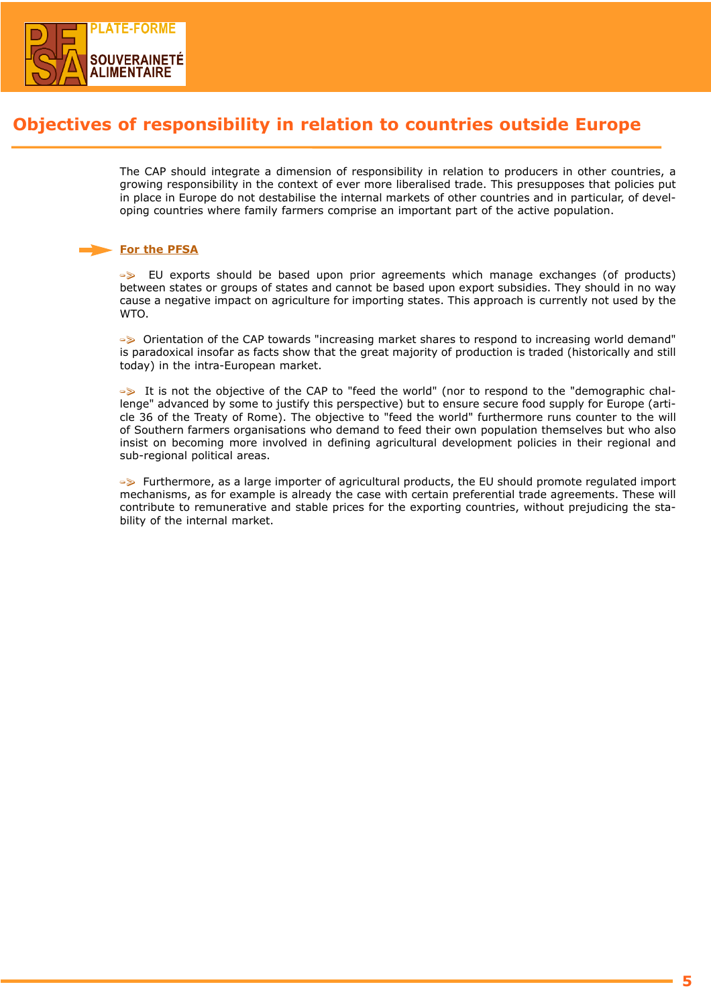

# Objectives of responsibility in relation to countries outside Europe

The CAP should integrate a dimension of responsibility in relation to producers in other countries, a growing responsibility in the context of ever more liberalised trade. This presupposes that policies put in place in Europe do not destabilise the internal markets of other countries and in particular, of developing countries where family farmers comprise an important part of the active population.

## For the PFSA

-> EU exports should be based upon prior agreements which manage exchanges (of products) between states or groups of states and cannot be based upon export subsidies. They should in no way cause a negative impact on agriculture for importing states. This approach is currently not used by the **WTO** 

-> Orientation of the CAP towards "increasing market shares to respond to increasing world demand" is paradoxical insofar as facts show that the great majority of production is traded (historically and still today) in the intra-European market.

-> It is not the objective of the CAP to "feed the world" (nor to respond to the "demographic challenge" advanced by some to justify this perspective) but to ensure secure food supply for Europe (article 36 of the Treaty of Rome). The objective to "feed the world" furthermore runs counter to the will of Southern farmers organisations who demand to feed their own population themselves but who also insist on becoming more involved in defining agricultural development policies in their regional and sub-regional political areas.

-> Furthermore, as a large importer of agricultural products, the EU should promote regulated import mechanisms, as for example is already the case with certain preferential trade agreements. These will contribute to remunerative and stable prices for the exporting countries, without prejudicing the stability of the internal market.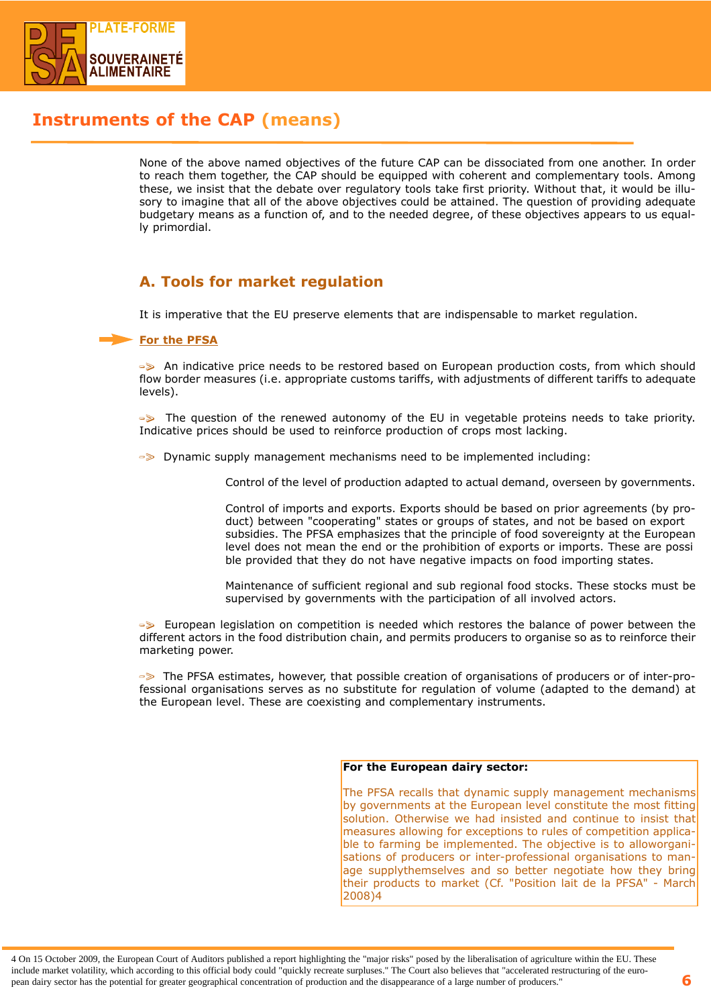

# Instruments of the CAP (means)

None of the above named objectives of the future CAP can be dissociated from one another. In order to reach them together, the CAP should be equipped with coherent and complementary tools. Among these, we insist that the debate over regulatory tools take first priority. Without that, it would be illusory to imagine that all of the above objectives could be attained. The question of providing adequate budgetary means as a function of, and to the needed degree, of these objectives appears to us equally primordial.

# A. Tools for market regulation

It is imperative that the EU preserve elements that are indispensable to market regulation.

## For the PFSA

-> An indicative price needs to be restored based on European production costs, from which should flow border measures (i.e. appropriate customs tariffs, with adjustments of different tariffs to adequate levels).

-> The question of the renewed autonomy of the EU in vegetable proteins needs to take priority. Indicative prices should be used to reinforce production of crops most lacking.

-> Dynamic supply management mechanisms need to be implemented including:

Control of the level of production adapted to actual demand, overseen by governments.

Control of imports and exports. Exports should be based on prior agreements (by product) between "cooperating" states or groups of states, and not be based on export subsidies. The PFSA emphasizes that the principle of food sovereignty at the European level does not mean the end or the prohibition of exports or imports. These are possi ble provided that they do not have negative impacts on food importing states.

Maintenance of sufficient regional and sub regional food stocks. These stocks must be supervised by governments with the participation of all involved actors.

-> European legislation on competition is needed which restores the balance of power between the different actors in the food distribution chain, and permits producers to organise so as to reinforce their marketing power.

-> The PFSA estimates, however, that possible creation of organisations of producers or of inter-professional organisations serves as no substitute for regulation of volume (adapted to the demand) at the European level. These are coexisting and complementary instruments.

#### For the European dairy sector:

The PFSA recalls that dynamic supply management mechanisms by governments at the European level constitute the most fitting solution. Otherwise we had insisted and continue to insist that measures allowing for exceptions to rules of competition applicable to farming be implemented. The objective is to alloworganisations of producers or inter-professional organisations to manage supplythemselves and so better negotiate how they bring their products to market (Cf. "Position lait de la PFSA" - March 2008)4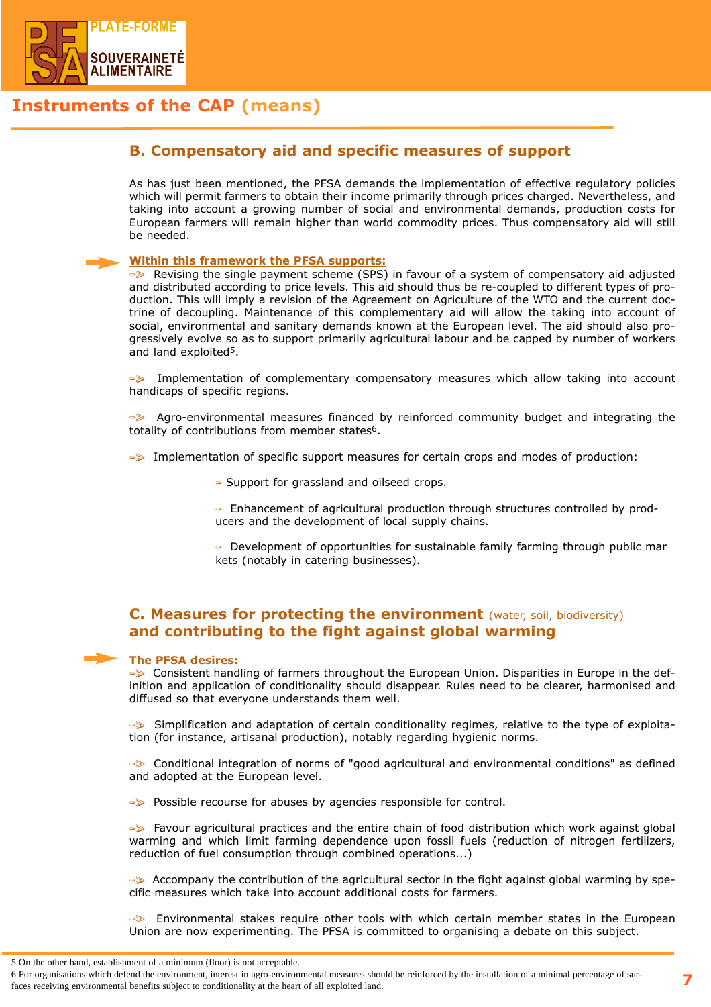

# Instruments of the CAP (means)

## B. Compensatory aid and specific measures of support

As has just been mentioned, the PFSA demands the implementation of effective regulatory policies which will permit farmers to obtain their income primarily through prices charged. Nevertheless, and taking into account a growing number of social and environmental demands, production costs for European farmers will remain higher than world commodity prices. Thus compensatory aid will still be needed.

#### Within this framework the PFSA supports:

-> Revising the single payment scheme (SPS) in favour of a system of compensatory aid adjusted and distributed according to price levels. This aid should thus be re-coupled to different types of production. This will imply a revision of the Agreement on Agriculture of the WTO and the current doctrine of decoupling. Maintenance of this complementary aid will allow the taking into account of social, environmental and sanitary demands known at the European level. The aid should also progressively evolve so as to support primarily agricultural labour and be capped by number of workers and land exploited5.

-> Implementation of complementary compensatory measures which allow taking into account handicaps of specific regions.

-> Agro-environmental measures financed by reinforced community budget and integrating the totality of contributions from member states<sup>6</sup>.

 $\rightarrow\$  Implementation of specific support measures for certain crops and modes of production:

- Support for grassland and oilseed crops.

- Enhancement of agricultural production through structures controlled by producers and the development of local supply chains.

- Development of opportunities for sustainable family farming through public mar kets (notably in catering businesses).

## C. Measures for protecting the environment (water, soil, biodiversity) and contributing to the fight against global warming

#### The PFSA desires:

-> Consistent handling of farmers throughout the European Union. Disparities in Europe in the definition and application of conditionality should disappear. Rules need to be clearer, harmonised and diffused so that everyone understands them well.

-> Simplification and adaptation of certain conditionality regimes, relative to the type of exploitation (for instance, artisanal production), notably regarding hygienic norms.

-> Conditional integration of norms of "good agricultural and environmental conditions" as defined and adopted at the European level.

→ Possible recourse for abuses by agencies responsible for control.

-> Favour agricultural practices and the entire chain of food distribution which work against global warming and which limit farming dependence upon fossil fuels (reduction of nitrogen fertilizers, reduction of fuel consumption through combined operations...)

-> Accompany the contribution of the agricultural sector in the fight against global warming by specific measures which take into account additional costs for farmers.

-> Environmental stakes require other tools with which certain member states in the European Union are now experimenting. The PFSA is committed to organising a debate on this subject.

<sup>5</sup> On the other hand, establishment of a minimum (floor) is not acceptable.

<sup>6</sup> For organisations which defend the environment, interest in agro-environmental measures should be reinforced by the installation of a minimal percentage of surfaces receiving environmental benefits subject to conditionality at the heart of all exploited land.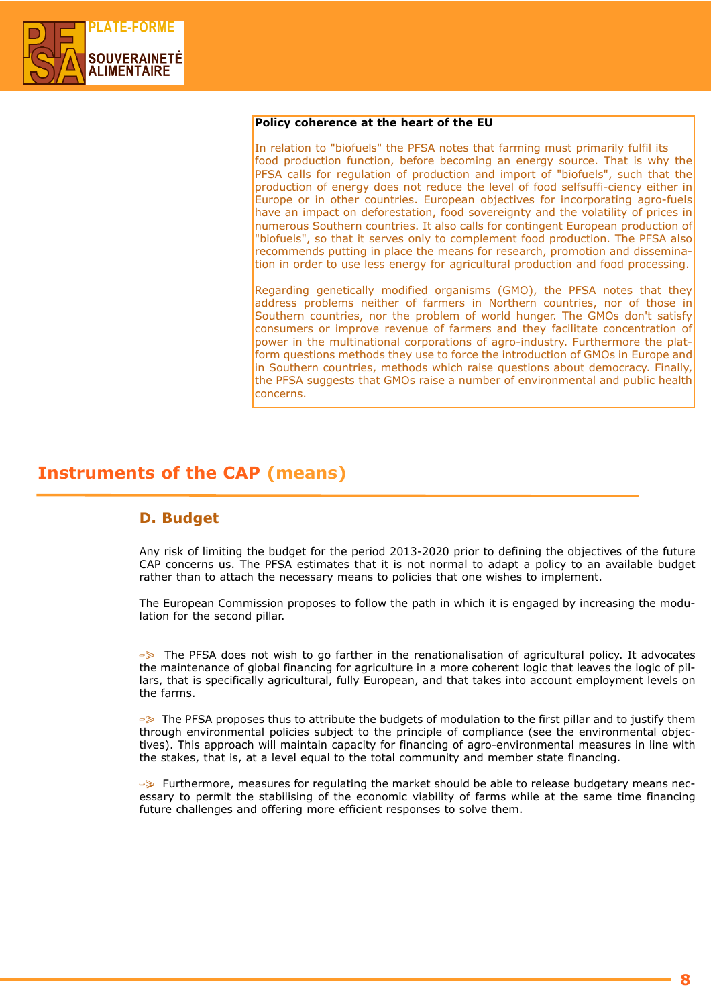

### Policy coherence at the heart of the EU

In relation to "biofuels" the PFSA notes that farming must primarily fulfil its food production function, before becoming an energy source. That is why the PFSA calls for regulation of production and import of "biofuels", such that the production of energy does not reduce the level of food selfsuffi-ciency either in Europe or in other countries. European objectives for incorporating agro-fuels have an impact on deforestation, food sovereignty and the volatility of prices in numerous Southern countries. It also calls for contingent European production of "biofuels", so that it serves only to complement food production. The PFSA also recommends putting in place the means for research, promotion and dissemination in order to use less energy for agricultural production and food processing.

Regarding genetically modified organisms (GMO), the PFSA notes that they address problems neither of farmers in Northern countries, nor of those in Southern countries, nor the problem of world hunger. The GMOs don't satisfy consumers or improve revenue of farmers and they facilitate concentration of power in the multinational corporations of agro-industry. Furthermore the platform questions methods they use to force the introduction of GMOs in Europe and in Southern countries, methods which raise questions about democracy. Finally, the PFSA suggests that GMOs raise a number of environmental and public health concerns.

# Instruments of the CAP (means)

## D. Budget

Any risk of limiting the budget for the period 2013-2020 prior to defining the objectives of the future CAP concerns us. The PFSA estimates that it is not normal to adapt a policy to an available budget rather than to attach the necessary means to policies that one wishes to implement.

The European Commission proposes to follow the path in which it is engaged by increasing the modulation for the second pillar.

-> The PFSA does not wish to go farther in the renationalisation of agricultural policy. It advocates the maintenance of global financing for agriculture in a more coherent logic that leaves the logic of pillars, that is specifically agricultural, fully European, and that takes into account employment levels on the farms.

-> The PFSA proposes thus to attribute the budgets of modulation to the first pillar and to justify them through environmental policies subject to the principle of compliance (see the environmental objectives). This approach will maintain capacity for financing of agro-environmental measures in line with the stakes, that is, at a level equal to the total community and member state financing.

-> Furthermore, measures for regulating the market should be able to release budgetary means necessary to permit the stabilising of the economic viability of farms while at the same time financing future challenges and offering more efficient responses to solve them.